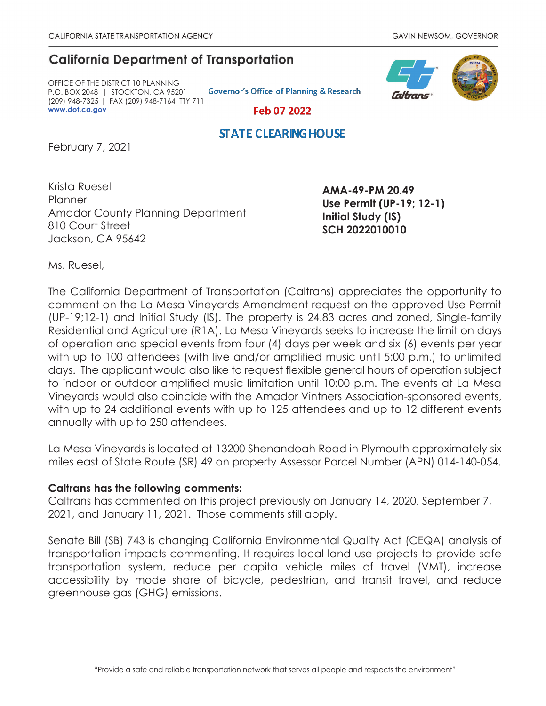## **California Department of Transportation**

OFFICE OF THE DISTRICT 10 PLANNING P.O. BOX 2048 | STOCKTON, CA 95201 (209) 948-7325 | FAX (209) 948-7164 TTY 711 **www.dot.ca.gov**

**Governor's Office of Planning & Research** 



Feb 07 2022

## **STATE CLEARING HOUSE**

February 7, 2021

Krista Ruesel **Planner** Amador County Planning Department 810 Court Street Jackson, CA 95642

**AMA-49-PM 20.49 Use Permit (UP-19; 12-1) Initial Study (IS) SCH 2022010010** 

Ms. Ruesel,

The California Department of Transportation (Caltrans) appreciates the opportunity to comment on the La Mesa Vineyards Amendment request on the approved Use Permit (UP-19;12-1) and Initial Study (IS). The property is 24.83 acres and zoned, Single-family Residential and Agriculture (R1A). La Mesa Vineyards seeks to increase the limit on days of operation and special events from four (4) days per week and six (6) events per year with up to 100 attendees (with live and/or amplified music until 5:00 p.m.) to unlimited days. The applicant would also like to request flexible general hours of operation subject to indoor or outdoor amplified music limitation until 10:00 p.m. The events at La Mesa Vineyards would also coincide with the Amador Vintners Association-sponsored events, with up to 24 additional events with up to 125 attendees and up to 12 different events annually with up to 250 attendees.

La Mesa Vineyards is located at 13200 Shenandoah Road in Plymouth approximately six miles east of State Route (SR) 49 on property Assessor Parcel Number (APN) 014-140-054.

## **Caltrans has the following comments:**

Caltrans has commented on this project previously on January 14, 2020, September 7, 2021, and January 11, 2021. Those comments still apply.

Senate Bill (SB) 743 is changing California Environmental Quality Act (CEQA) analysis of transportation impacts commenting. It requires local land use projects to provide safe transportation system, reduce per capita vehicle miles of travel (VMT), increase accessibility by mode share of bicycle, pedestrian, and transit travel, and reduce greenhouse gas (GHG) emissions.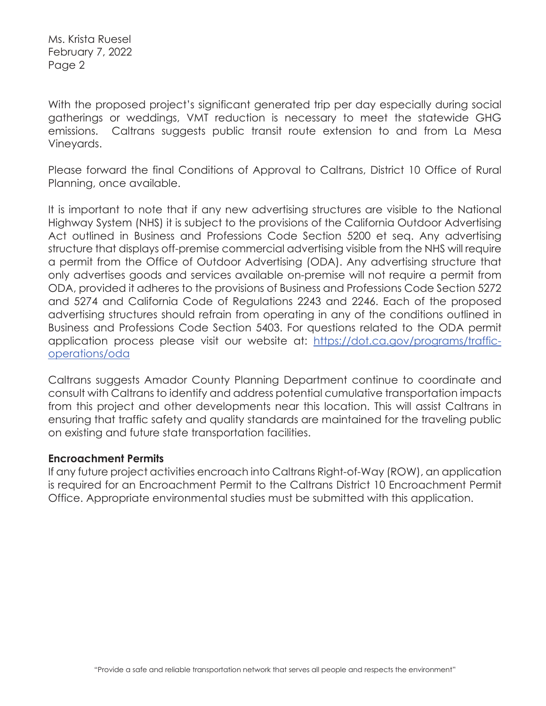Ms. Krista Ruesel February 7, 2022 Page 2

With the proposed project's significant generated trip per day especially during social gatherings or weddings, VMT reduction is necessary to meet the statewide GHG emissions. Caltrans suggests public transit route extension to and from La Mesa Vineyards.

Please forward the final Conditions of Approval to Caltrans, District 10 Office of Rural Planning, once available.

It is important to note that if any new advertising structures are visible to the National Highway System (NHS) it is subject to the provisions of the California Outdoor Advertising Act outlined in Business and Professions Code Section 5200 et seq. Any advertising structure that displays off-premise commercial advertising visible from the NHS will require a permit from the Office of Outdoor Advertising (ODA). Any advertising structure that only advertises goods and services available on-premise will not require a permit from ODA, provided it adheres to the provisions of Business and Professions Code Section 5272 and 5274 and California Code of Regulations 2243 and 2246. Each of the proposed advertising structures should refrain from operating in any of the conditions outlined in Business and Professions Code Section 5403. For questions related to the ODA permit application process please visit our website at: https://dot.ca.gov/programs/trafficoperations/oda

Caltrans suggests Amador County Planning Department continue to coordinate and consult with Caltrans to identify and address potential cumulative transportation impacts from this project and other developments near this location. This will assist Caltrans in ensuring that traffic safety and quality standards are maintained for the traveling public on existing and future state transportation facilities.

## **Encroachment Permits**

If any future project activities encroach into Caltrans Right-of-Way (ROW), an application is required for an Encroachment Permit to the Caltrans District 10 Encroachment Permit Office. Appropriate environmental studies must be submitted with this application.